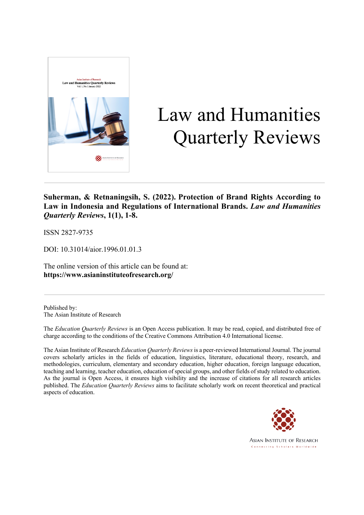

# Law and Humanities Quarterly Reviews

**Suherman, & Retnaningsih, S. (2022). Protection of Brand Rights According to Law in Indonesia and Regulations of International Brands.** *Law and Humanities Quarterly Reviews***, 1(1), 1-8.**

ISSN 2827-9735

DOI: 10.31014/aior.1996.01.01.3

The online version of this article can be found at: **https://www.asianinstituteofresearch.org/**

Published by: The Asian Institute of Research

The *Education Quarterly Reviews* is an Open Access publication. It may be read, copied, and distributed free of charge according to the conditions of the Creative Commons Attribution 4.0 International license.

The Asian Institute of Research *Education Quarterly Reviews* is a peer-reviewed International Journal. The journal covers scholarly articles in the fields of education, linguistics, literature, educational theory, research, and methodologies, curriculum, elementary and secondary education, higher education, foreign language education, teaching and learning, teacher education, education of special groups, and other fields of study related to education. As the journal is Open Access, it ensures high visibility and the increase of citations for all research articles published. The *Education Quarterly Reviews* aims to facilitate scholarly work on recent theoretical and practical aspects of education.



**ASIAN INSTITUTE OF RESEARCH** Connecting Scholars Worldwide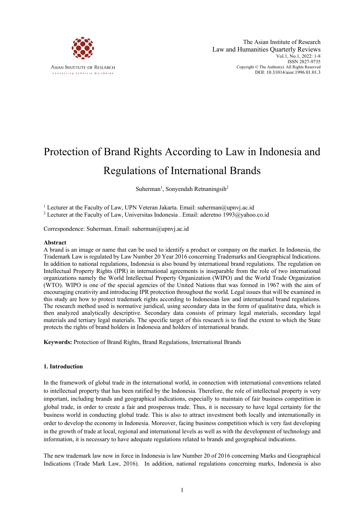

# Protection of Brand Rights According to Law in Indonesia and Regulations of International Brands

Suherman<sup>1</sup>, Sonyendah Retnaningsih<sup>2</sup>

<sup>1</sup> Lecturer at the Faculty of Law, UPN Veteran Jakarta. Email: suherman@upnvj.ac.id <sup>2</sup> Lecturer at the Faculty of Law, Universitas Indonesia . Email: aderetno 1993@yahoo.co.id

Correspondence: Suherman. Email: suherman@upnvj.ac.id

#### **Abstract**

A brand is an image or name that can be used to identify a product or company on the market. In Indonesia, the Trademark Law is regulated by Law Number 20 Year 2016 concerning Trademarks and Geographical Indications. In addition to national regulations, Indonesia is also bound by international brand regulations. The regulation on Intellectual Property Rights (IPR) in international agreements is inseparable from the role of two international organizations namely the World Intellectual Property Organization (WIPO) and the World Trade Organization (WTO). WIPO is one of the special agencies of the United Nations that was formed in 1967 with the aim of encouraging creativity and introducing IPR protection throughout the world. Legal issues that will be examined in this study are how to protect trademark rights according to Indonesian law and international brand regulations. The research method used is normative juridical, using secondary data in the form of qualitative data, which is then analyzed analytically descriptive. Secondary data consists of primary legal materials, secondary legal materials and tertiary legal materials. The specific target of this research is to find the extent to which the State protects the rights of brand holders in Indonesia and holders of international brands.

**Keywords:** Protection of Brand Rights, Brand Regulations, International Brands

# **1. Introduction**

In the framework of global trade in the international world, in connection with international conventions related to intellectual property that has been ratified by the Indonesia. Therefore, the role of intellectual property is very important, including brands and geographical indications, especially to maintain of fair business competition in global trade, in order to create a fair and prosperous trade. Thus, it is necessary to have legal certainty for the business world in conducting global trade. This is also to attract investment both locally and internationally in order to develop the economy in Indonesia. Moreover, facing business competition which is very fast developing in the growth of trade at local, regional and international levels as well as with the development of technology and information, it is necessary to have adequate regulations related to brands and geographical indications.

The new trademark law now in force in Indonesia is law Number 20 of 2016 concerning Marks and Geographical Indications (Trade Mark Law, 2016). In addition, national regulations concerning marks, Indonesia is also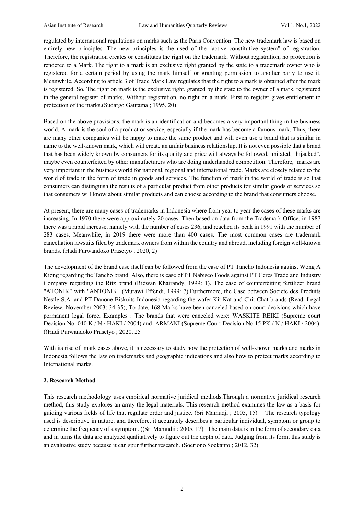regulated by international regulations on marks such as the Paris Convention. The new trademark law is based on entirely new principles. The new principles is the used of the "active constitutive system" of registration. Therefore, the registration creates or constitutes the right on the trademark. Without registration, no protection is rendered to a Mark. The right to a mark is an exclusive right granted by the state to a trademark owner who is registered for a certain period by using the mark himself or granting permission to another party to use it. Meanwhile, According to article 3 of Trade Mark Law regulates that the right to a mark is obtained after the mark is registered. So, The right on mark is the exclusive right, granted by the state to the owner of a mark, registered in the general register of marks. Without registration, no right on a mark. First to register gives entitlement to protection of the marks.(Sudargo Gautama ; 1995, 20)

Based on the above provisions, the mark is an identification and becomes a very important thing in the business world. A mark is the soul of a product or service, especially if the mark has become a famous mark. Thus, there are many other companies will be happy to make the same product and will even use a brand that is similar in name to the well-known mark, which will create an unfair business relationship. It is not even possible that a brand that has been widely known by consumers for its quality and price will always be followed, imitated, "hijacked", maybe even counterfeited by other manufacturers who are doing underhanded competition. Therefore, marks are very important in the business world for national, regional and international trade. Marks are closely related to the world of trade in the form of trade in goods and services. The function of mark in the world of trade is so that consumers can distinguish the results of a particular product from other products for similar goods or services so that consumers will know about similar products and can choose according to the brand that consumers choose.

At present, there are many cases of trademarks in Indonesia where from year to year the cases of these marks are increasing. In 1970 there were approximately 20 cases. Then based on data from the Trademark Office, in 1987 there was a rapid increase, namely with the number of cases 236, and reached its peak in 1991 with the number of 283 cases. Meanwhile, in 2019 there were more than 400 cases. The most common cases are trademark cancellation lawsuits filed by trademark owners from within the country and abroad, including foreign well-known brands. (Hadi Purwandoko Prasetyo ; 2020, 2)

The development of the brand case itself can be followed from the case of PT Tancho Indonesia against Wong A Kiong regarding the Tancho brand. Also, there is case of PT Nabisco Foods against PT Ceres Trade and Industry Company regarding the Ritz brand (Ridwan Khairandy, 1999: 1). The case of counterfeiting fertilizer brand "ATONIK" with "ANTONIK" (Murawi Effendi, 1999: 7).Furthermore, the Case between Societe des Produits Nestle S.A. and PT Danone Biskuits Indonesia regarding the wafer Kit-Kat and Chit-Chat brands (Read. Legal Review, November 2003: 34-35), To date, 168 Marks have been canceled based on court decisions which have permanent legal force. Examples : The brands that were canceled were: WASKITE REIKI (Supreme court Decision No. 040 K / N / HAKI / 2004) and ARMANI (Supreme Court Decision No.15 PK / N / HAKI / 2004). ((Hadi Purwandoko Prasetyo ; 2020, 25

With its rise of mark cases above, it is necessary to study how the protection of well-known marks and marks in Indonesia follows the law on trademarks and geographic indications and also how to protect marks according to International marks.

# **2. Research Method**

This research methodology uses empirical normative juridical methods.Through a normative juridical research method, this study explores an array the legal materials. This research method examines the law as a basis for guiding various fields of life that regulate order and justice. (Sri Mamudji ; 2005, 15) The research typology used is descriptive in nature, and therefore, it accurately describes a particular individual, symptom or group to determine the frequency of a symptom. ((Sri Mamudji ; 2005, 17) The main data is in the form of secondary data and in turns the data are analyzed qualitatively to figure out the depth of data. Judging from its form, this study is an evaluative study because it can spur further research. (Soerjono Soekanto ; 2012, 32)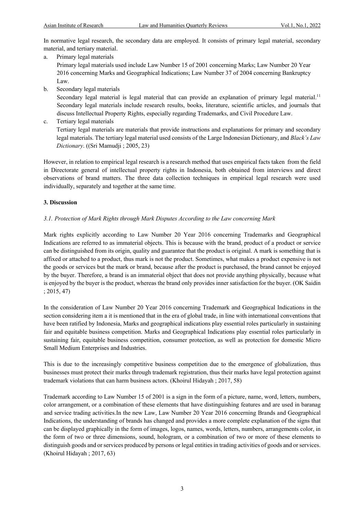In normative legal research, the secondary data are employed. It consists of primary legal material, secondary material, and tertiary material.

a. Primary legal materials

Primary legal materials used include Law Number 15 of 2001 concerning Marks; Law Number 20 Year 2016 concerning Marks and Geographical Indications; Law Number 37 of 2004 concerning Bankruptcy Law.

b. Secondary legal materials

Secondary legal material is legal material that can provide an explanation of primary legal material.<sup>11</sup> Secondary legal materials include research results, books, literature, scientific articles, and journals that discuss Intellectual Property Rights, especially regarding Trademarks, and Civil Procedure Law.

c. Tertiary legal materials

Tertiary legal materials are materials that provide instructions and explanations for primary and secondary legal materials. The tertiary legal material used consists of the Large Indonesian Dictionary, and *Black's Law Dictionary*. ((Sri Mamudji ; 2005, 23)

However, in relation to empirical legal research is a research method that uses empirical facts taken from the field in Directorate general of intellectual property rights in Indonesia, both obtained from interviews and direct observations of brand matters. The three data collection techniques in empirical legal research were used individually, separately and together at the same time.

# **3. Discussion**

## *3.1. Protection of Mark Rights through Mark Disputes According to the Law concerning Mark*

Mark rights explicitly according to Law Number 20 Year 2016 concerning Trademarks and Geographical Indications are referred to as immaterial objects. This is because with the brand, product of a product or service can be distinguished from its origin, quality and guarantee that the product is original. A mark is something that is affixed or attached to a product, thus mark is not the product. Sometimes, what makes a product expensive is not the goods or services but the mark or brand, because after the product is purchased, the brand cannot be enjoyed by the buyer. Therefore, a brand is an immaterial object that does not provide anything physically, because what is enjoyed by the buyer is the product, whereas the brand only provides inner satisfaction for the buyer. (OK Saidin ; 2015, 47)

In the consideration of Law Number 20 Year 2016 concerning Trademark and Geographical Indications in the section considering item a it is mentioned that in the era of global trade, in line with international conventions that have been ratified by Indonesia, Marks and geographical indications play essential roles particularly in sustaining fair and equitable business competition. Marks and Geographical Indications play essential roles particularly in sustaining fair, equitable business competition, consumer protection, as well as protection for domestic Micro Small Medium Enterprises and Industries.

This is due to the increasingly competitive business competition due to the emergence of globalization, thus businesses must protect their marks through trademark registration, thus their marks have legal protection against trademark violations that can harm business actors. (Khoirul Hidayah ; 2017, 58)

Trademark according to Law Number 15 of 2001 is a sign in the form of a picture, name, word, letters, numbers, color arrangement, or a combination of these elements that have distinguishing features and are used in baranag and service trading activities.In the new Law, Law Number 20 Year 2016 concerning Brands and Geographical Indications, the understanding of brands has changed and provides a more complete explanation of the signs that can be displayed graphically in the form of images, logos, names, words, letters, numbers, arrangements color, in the form of two or three dimensions, sound, hologram, or a combination of two or more of these elements to distinguish goods and or services produced by persons or legal entities in trading activities of goods and or services. (Khoirul Hidayah ; 2017, 63)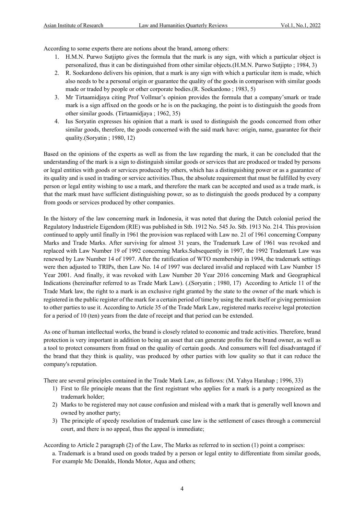According to some experts there are notions about the brand, among others:

- 1. H.M.N. Purwo Sutjipto gives the formula that the mark is any sign, with which a particular object is personalized, thus it can be distinguished from other similar objects.(H.M.N. Purwo Sutjipto ; 1984, 3)
- 2. R. Soekardono delivers his opinion, that a mark is any sign with which a particular item is made, which also needs to be a personal origin or guarantee the quality of the goods in comparison with similar goods made or traded by people or other corporate bodies.(R. Soekardono ; 1983, 5)
- 3. Mr Tirtaamidjaya citing Prof Vollmar's opinion provides the formula that a company'smark or trade mark is a sign affixed on the goods or he is on the packaging, the point is to distinguish the goods from other similar goods. (Tirtaamidjaya ; 1962, 35)
- 4. Ius Soryatin expresses his opinion that a mark is used to distinguish the goods concerned from other similar goods, therefore, the goods concerned with the said mark have: origin, name, guarantee for their quality.(Soryatin ; 1980, 12)

Based on the opinions of the experts as well as from the law regarding the mark, it can be concluded that the understanding of the mark is a sign to distinguish similar goods or services that are produced or traded by persons or legal entities with goods or services produced by others, which has a distinguishing power or as a guarantee of its quality and is used in trading or service activities.Thus, the absolute requirement that must be fulfilled by every person or legal entity wishing to use a mark, and therefore the mark can be accepted and used as a trade mark, is that the mark must have sufficient distinguishing power, so as to distinguish the goods produced by a company from goods or services produced by other companies.

In the history of the law concerning mark in Indonesia, it was noted that during the Dutch colonial period the Regulatory Industriele Eigendom (RIE) was published in Stb. 1912 No. 545 Jo. Stb. 1913 No. 214. This provision continued to apply until finally in 1961 the provision was replaced with Law no. 21 of 1961 concerning Company Marks and Trade Marks. After surviving for almost 31 years, the Trademark Law of 1961 was revoked and replaced with Law Number 19 of 1992 concerning Marks.Subsequently in 1997, the 1992 Trademark Law was renewed by Law Number 14 of 1997. After the ratification of WTO membership in 1994, the trademark settings were then adjusted to TRIPs, then Law No. 14 of 1997 was declared invalid and replaced with Law Number 15 Year 2001. And finally, it was revoked with Law Number 20 Year 2016 concerning Mark and Geographical Indications (hereinafter referred to as Trade Mark Law). (.(Soryatin ; 1980, 17) According to Article 11 of the Trade Mark law, the right to a mark is an exclusive right granted by the state to the owner of the mark which is registered in the public register of the mark for a certain period of time by using the mark itself or giving permission to other parties to use it. According to Article 35 of the Trade Mark Law, registered marks receive legal protection for a period of 10 (ten) years from the date of receipt and that period can be extended.

As one of human intellectual works, the brand is closely related to economic and trade activities. Therefore, brand protection is very important in addition to being an asset that can generate profits for the brand owner, as well as a tool to protect consumers from fraud on the quality of certain goods. And consumers will feel disadvantaged if the brand that they think is quality, was produced by other parties with low quality so that it can reduce the company's reputation.

There are several principles contained in the Trade Mark Law, as follows: (M. Yahya Harahap ; 1996, 33)

- 1) First to file principle means that the first registrant who applies for a mark is a party recognized as the trademark holder;
- 2) Marks to be registered may not cause confusion and mislead with a mark that is generally well known and owned by another party;
- 3) The principle of speedy resolution of trademark case law is the settlement of cases through a commercial court, and there is no appeal, thus the appeal is immediate;

According to Article 2 paragraph (2) of the Law, The Marks as referred to in section (1) point a comprises:

a. Trademark is a brand used on goods traded by a person or legal entity to differentiate from similar goods, For example Mc Donalds, Honda Motor, Aqua and others;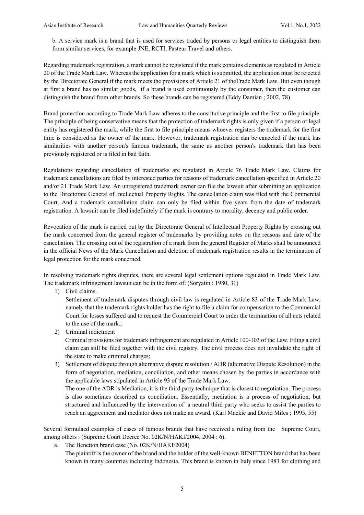b. A service mark is a brand that is used for services traded by persons or legal entities to distinguish them from similar services, for example JNE, RCTI, Pasteur Travel and others.

Regarding trademark registration, a mark cannot be registered if the mark contains elements as regulated in Article 20 of the Trade Mark Law. Whereas the application for a mark which is submitted, the application must be rejected by the Directorate General if the mark meets the provisions of Article 21 of theTrade Mark Law. But even though at first a brand has no similar goods, if a brand is used continuously by the consumer, then the customer can distinguish the brand from other brands. So these brands can be registered.(Eddy Damian ; 2002, 78)

Brand protection according to Trade Mark Law adheres to the constitutive principle and the first to file principle. The principle of being conservative means that the protection of trademark rights is only given if a person or legal entity has registered the mark, while the first to file principle means whoever registers the trademark for the first time is considered as the owner of the mark. However, trademark registration can be canceled if the mark has similarities with another person's famous trademark, the same as another person's trademark that has been previously registered or is filed in bad faith.

Regulations regarding cancellation of trademarks are regulated in Article 76 Trade Mark Law. Claims for trademark cancellations are filed by interested parties for reasons of trademark cancellation specified in Article 20 and/or 21 Trade Mark Law. An unregistered trademark owner can file the lawsuit after submitting an application to the Directorate General of Intellectual Property Rights. The cancellation claim was filed with the Commercial Court. And a trademark cancellation claim can only be filed within five years from the date of trademark registration. A lawsuit can be filed indefinitely if the mark is contrary to morality, decency and public order.

Revocation of the mark is carried out by the Directorate General of Intellectual Property Rights by crossing out the mark concerned from the general register of trademarks by providing notes on the reasons and date of the cancellation. The crossing out of the registration of a mark from the general Register of Marks shall be announced in the official News of the Mark Cancellation and deletion of trademark registration results in the termination of legal protection for the mark concerned.

In resolving trademark rights disputes, there are several legal settlement options regulated in Trade Mark Law. The trademark infringement lawsuit can be in the form of: (Soryatin ; 1980, 31)

1) Civil claims.

Settlement of trademark disputes through civil law is regulated in Article 83 of the Trade Mark Law, namely that the trademark rights holder has the right to file a claim for compensation to the Commercial Court for losses suffered and to request the Commercial Court to order the termination of all acts related to the use of the mark.;

2) Criminal indictment

Criminal provisions for trademark infringement are regulated in Article 100-103 of the Law. Filing a civil claim can still be filed together with the civil registry. The civil process does not invalidate the right of the state to make criminal charges;

3) Settlement of dispute through alternative dispute resolution / ADR (alternative Dispute Resolution) in the form of negotiation, mediation, conciliation, and other means chosen by the parties in accordance with the applicable laws stipulated in Article 93 of the Trade Mark Law.

The one of the ADR is Mediation, it is the third party technique that is closest to negotiation. The process is also sometimes described as conciliation. Essentially, mediation is a process of negotiation, but structured and influenced by the intervention of a neutral third party who seeks to assist the parties to reach an aggreement and mediator does not make an award. (Karl Mackie and David Miles ; 1995, 55)

Several formulaed examples of cases of famous brands that have received a ruling from the Supreme Court, among others : (Supreme Court Decree No. 02K/N/HAKI/2004, 2004 : 6).

a. The Benetton brand case (No. 02K/N/HAKI/2004)

The plaintiff is the owner of the brand and the holder of the well-known BENETTON brand that has been known in many countries including Indonesia. This brand is known in Italy since 1983 for clothing and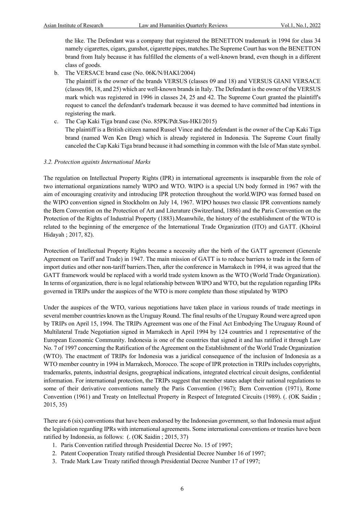the like. The Defendant was a company that registered the BENETTON trademark in 1994 for class 34 namely cigarettes, cigars, gunshot, cigarette pipes, matches.The Supreme Court has won the BENETTON brand from Italy because it has fulfilled the elements of a well-known brand, even though in a different class of goods.

b. The VERSACE brand case (No. 06K/N/HAKI/2004)

The plaintiff is the owner of the brands VERSUS (classes 09 and 18) and VERSUS GIANI VERSACE (classes 08, 18, and 25) which are well-known brands in Italy. The Defendant is the owner of the VERSUS mark which was registered in 1996 in classes 24, 25 and 42. The Supreme Court granted the plaintiff's request to cancel the defendant's trademark because it was deemed to have committed bad intentions in registering the mark.

c. The Cap Kaki Tiga brand case (No. 85PK/Pdt.Sus-HKI/2015) The plaintiff is a British citizen named Russel Vince and the defendant is the owner of the Cap Kaki Tiga brand (named Wen Ken Drug) which is already registered in Indonesia. The Supreme Court finally canceled the Cap Kaki Tiga brand because it had something in common with the Isle of Man state symbol.

## *3.2. Protection againts International Marks*

The regulation on Intellectual Property Rights (IPR) in international agreements is inseparable from the role of two international organizations namely WIPO and WTO. WIPO is a special UN body formed in 1967 with the aim of encouraging creativity and introducing IPR protection throughout the world.WIPO was formed based on the WIPO convention signed in Stockholm on July 14, 1967. WIPO houses two classic IPR conventions namely the Bern Convention on the Protection of Art and Literature (Switzerland, 1886) and the Paris Convention on the Protection of the Rights of Industrial Property (1883).Meanwhile, the history of the establishment of the WTO is related to the beginning of the emergence of the International Trade Organization (ITO) and GATT. (Khoirul Hidayah ; 2017, 82).

Protection of Intellectual Property Rights became a necessity after the birth of the GATT agreement (Generale Agreement on Tariff and Trade) in 1947. The main mission of GATT is to reduce barriers to trade in the form of import duties and other non-tariff barriers.Then, after the conference in Marrakech in 1994, it was agreed that the GATT framework would be replaced with a world trade system known as the WTO (World Trade Organization). In terms of organization, there is no legal relationship between WIPO and WTO, but the regulation regarding IPRs governed in TRIPs under the auspices of the WTO is more complete than those stipulated by WIPO

Under the auspices of the WTO, various negotiations have taken place in various rounds of trade meetings in several member countries known as the Uruguay Round. The final results of the Uruguay Round were agreed upon by TRIPs on April 15, 1994. The TRIPs Agreement was one of the Final Act Embodying The Uruguay Round of Multilateral Trade Negotiation signed in Marrakech in April 1994 by 124 countries and 1 representative of the European Economic Community. Indonesia is one of the countries that signed it and has ratified it through Law No. 7 of 1997 concerning the Ratification of the Agreement on the Establishment of the World Trade Organization (WTO). The enactment of TRIPs for Indonesia was a juridical consequence of the inclusion of Indonesia as a WTO member country in 1994 in Marrakech, Morocco. The scope of IPR protection in TRIPs includes copyrights, trademarks, patents, industrial designs, geographical indications, integrated electrical circuit designs, confidential information. For international protection, the TRIPs suggest that member states adapt their national regulations to some of their derivative conventions namely the Paris Convention (1967); Bern Convention (1971), Rome Convention (1961) and Treaty on Intellectual Property in Respect of Integrated Circuits (1989). (. (OK Saidin ; 2015, 35)

There are 6 (six) conventions that have been endorsed by the Indonesian government, so that Indonesia must adjust the legislation regarding IPRs with international agreements. Some international conventions or treaties have been ratified by Indonesia, as follows: (. (OK Saidin ; 2015, 37)

- 1. Paris Convention ratified through Presidential Decree No. 15 of 1997;
- 2. Patent Cooperation Treaty ratified through Presidential Decree Number 16 of 1997;
- 3. Trade Mark Law Treaty ratified through Presidential Decree Number 17 of 1997;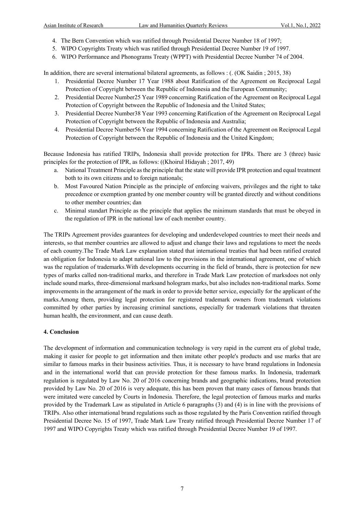- 4. The Bern Convention which was ratified through Presidential Decree Number 18 of 1997;
- 5. WIPO Copyrights Treaty which was ratified through Presidential Decree Number 19 of 1997.
- 6. WIPO Performance and Phonograms Treaty (WPPT) with Presidential Decree Number 74 of 2004.

In addition, there are several international bilateral agreements, as follows : (. (OK Saidin ; 2015, 38)

- 1. Presidential Decree Number 17 Year 1988 about Ratification of the Agreement on Reciprocal Legal Protection of Copyright between the Republic of Indonesia and the European Community;
- 2. Presidential Decree Number25 Year 1989 concerning Ratification of the Agreement on Reciprocal Legal Protection of Copyright between the Republic of Indonesia and the United States;
- 3. Presidential Decree Number38 Year 1993 concerning Ratification of the Agreement on Reciprocal Legal Protection of Copyright between the Republic of Indonesia and Australia;
- 4. Presidential Decree Number56 Year 1994 concerning Ratification of the Agreement on Reciprocal Legal Protection of Copyright between the Republic of Indonesia and the United Kingdom;

Because Indonesia has ratified TRIPs, Indonesia shall provide protection for IPRs. There are 3 (three) basic principles for the protection of IPR, as follows: ((Khoirul Hidayah ; 2017, 49)

- a. National Treatment Principle as the principle that the state will provide IPR protection and equal treatment both to its own citizens and to foreign nationals;
- b. Most Favoured Nation Principle as the principle of enforcing waivers, privileges and the right to take precedence or exemption granted by one member country will be granted directly and without conditions to other member countries; dan
- c. Minimal standart Principle as the principle that applies the minimum standards that must be obeyed in the regulation of IPR in the national law of each member country.

The TRIPs Agreement provides guarantees for developing and underdeveloped countries to meet their needs and interests, so that member countries are allowed to adjust and change their laws and regulations to meet the needs of each country.The Trade Mark Law explanation stated that international treaties that had been ratified created an obligation for Indonesia to adapt national law to the provisions in the international agreement, one of which was the regulation of trademarks.With developments occurring in the field of brands, there is protection for new types of marks called non-traditional marks, and therefore in Trade Mark Law protection of marksdoes not only include sound marks, three-dimensional marksand hologram marks, but also includes non-traditional marks. Some improvements in the arrangement of the mark in order to provide better service, especially for the applicant of the marks.Among them, providing legal protection for registered trademark owners from trademark violations committed by other parties by increasing criminal sanctions, especially for trademark violations that threaten human health, the environment, and can cause death.

#### **4. Conclusion**

The development of information and communication technology is very rapid in the current era of global trade, making it easier for people to get information and then imitate other people's products and use marks that are similar to famous marks in their business activities. Thus, it is necessary to have brand regulations in Indonesia and in the international world that can provide protection for these famous marks. In Indonesia, trademark regulation is regulated by Law No. 20 of 2016 concerning brands and geographic indications, brand protection provided by Law No. 20 of 2016 is very adequate, this has been proven that many cases of famous brands that were imitated were canceled by Courts in Indonesia. Therefore, the legal protection of famous marks and marks provided by the Trademark Law as stipulated in Article 6 paragraphs (3) and (4) is in line with the provisions of TRIPs. Also other international brand regulations such as those regulated by the Paris Convention ratified through Presidential Decree No. 15 of 1997, Trade Mark Law Treaty ratified through Presidential Decree Number 17 of 1997 and WIPO Copyrights Treaty which was ratified through Presidential Decree Number 19 of 1997.